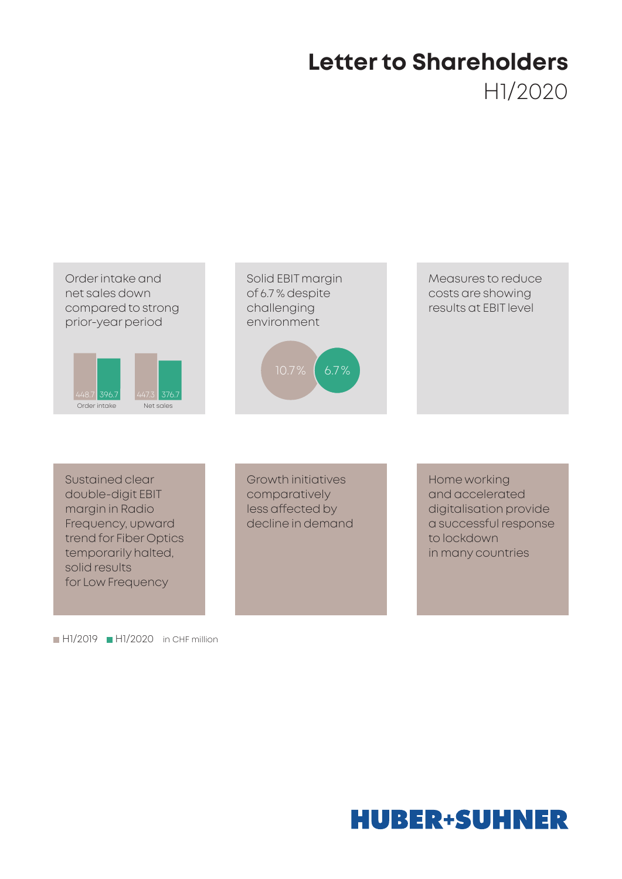# **Letter to Shareholders** H1/2020



Sustained clear double-digit EBIT margin in Radio Frequency, upward trend for Fiber Optics temporarily halted, solid results for Low Frequency

 $H1/2019$  H $1/2020$  in CHF million

Growth initiatives comparatively less affected by decline in demand Home working and accelerated digitalisation provide a successful response to lockdown in many countries

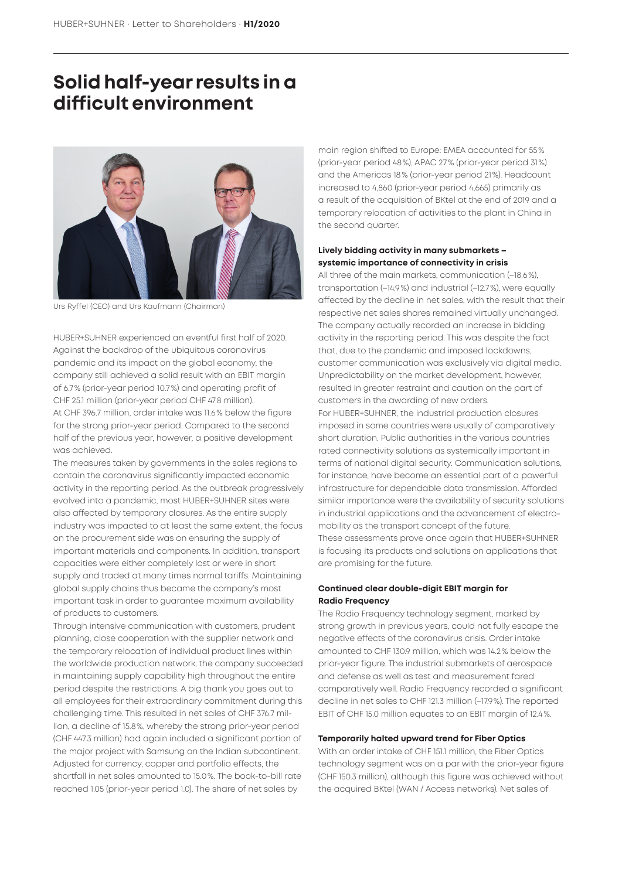### **Solid half-year results in a difficult environment**



Urs Ryffel (CEO) and Urs Kaufmann (Chairman)

HUBER+SUHNER experienced an eventful first half of 2020. Against the backdrop of the ubiquitous coronavirus pandemic and its impact on the global economy, the company still achieved a solid result with an EBIT margin of 6.7% (prior-year period 10.7%) and operating profit of CHF 25.1 million (prior-year period CHF 47.8 million). At CHF 396.7 million, order intake was 11.6% below the figure for the strong prior-year period. Compared to the second half of the previous year, however, a positive development was achieved.

The measures taken by governments in the sales regions to contain the coronavirus significantly impacted economic activity in the reporting period. As the outbreak progressively evolved into a pandemic, most HUBER+SUHNER sites were also affected by temporary closures. As the entire supply industry was impacted to at least the same extent, the focus on the procurement side was on ensuring the supply of important materials and components. In addition, transport capacities were either completely lost or were in short supply and traded at many times normal tariffs. Maintaining global supply chains thus became the company's most important task in order to guarantee maximum availability of products to customers.

Through intensive communication with customers, prudent planning, close cooperation with the supplier network and the temporary relocation of individual product lines within the worldwide production network, the company succeeded in maintaining supply capability high throughout the entire period despite the restrictions. A big thank you goes out to all employees for their extraordinary commitment during this challenging time. This resulted in net sales of CHF 376.7 million, a decline of 15.8%, whereby the strong prior-year period (CHF 447.3 million) had again included a significant portion of the major project with Samsung on the Indian subcontinent. Adjusted for currency, copper and portfolio effects, the shortfall in net sales amounted to 15.0%. The book-to-bill rate reached 1.05 (prior-year period 1.0). The share of net sales by

main region shifted to Europe: EMEA accounted for 55% (prior-year period 48%), APAC 27% (prior-year period 31%) and the Americas 18% (prior-year period 21%). Headcount increased to 4,860 (prior-year period 4,665) primarily as a result of the acquisition of BKtel at the end of 2019 and a temporary relocation of activities to the plant in China in the second quarter.

#### **Lively bidding activity in many submarkets – systemic importance of connectivity in crisis**

All three of the main markets, communication (–18.6%), transportation (–14.9%) and industrial (–12.7%), were equally affected by the decline in net sales, with the result that their respective net sales shares remained virtually unchanged. The company actually recorded an increase in bidding activity in the reporting period. This was despite the fact that, due to the pandemic and imposed lockdowns, customer communication was exclusively via digital media. Unpredictability on the market development, however, resulted in greater restraint and caution on the part of customers in the awarding of new orders. For HUBER+SUHNER, the industrial production closures imposed in some countries were usually of comparatively short duration. Public authorities in the various countries rated connectivity solutions as systemically important in terms of national digital security. Communication solutions, for instance, have become an essential part of a powerful infrastructure for dependable data transmission. Afforded similar importance were the availability of security solutions in industrial applications and the advancement of electromobility as the transport concept of the future. These assessments prove once again that HUBER+SUHNER is focusing its products and solutions on applications that are promising for the future.

#### **Continued clear double-digit EBIT margin for Radio Frequency**

The Radio Frequency technology segment, marked by strong growth in previous years, could not fully escape the negative effects of the coronavirus crisis. Order intake amounted to CHF 130.9 million, which was 14.2% below the prior-year figure. The industrial submarkets of aerospace and defense as well as test and measurement fared comparatively well. Radio Frequency recorded a significant decline in net sales to CHF 121.3 million (–17.9%). The reported EBIT of CHF 15.0 million equates to an EBIT margin of 12.4%.

#### **Temporarily halted upward trend for Fiber Optics**

With an order intake of CHF 151.1 million, the Fiber Optics technology segment was on a par with the prior-year figure (CHF 150.3 million), although this figure was achieved without the acquired BKtel (WAN / Access networks). Net sales of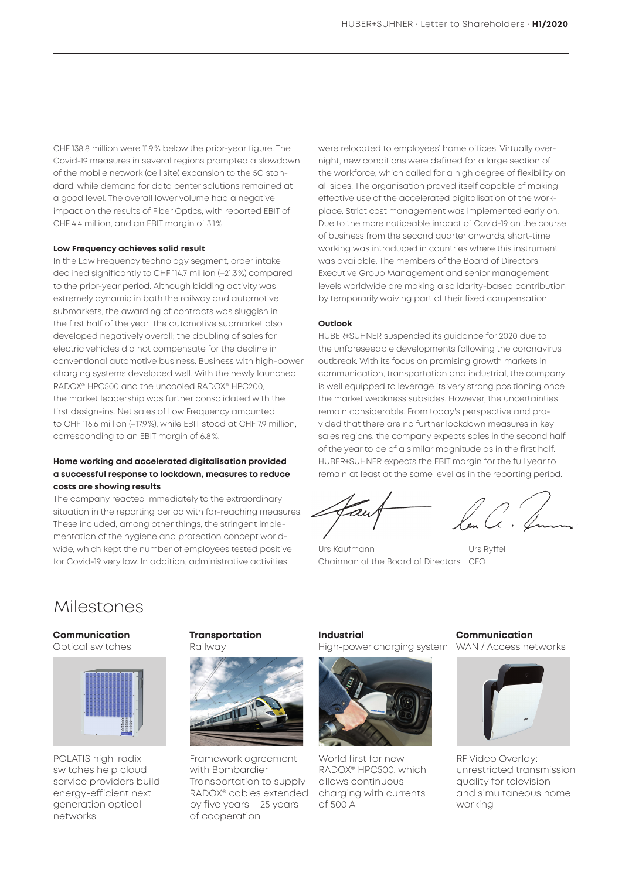CHF 138.8 million were 11.9% below the prior-year figure. The Covid-19 measures in several regions prompted a slowdown of the mobile network (cell site) expansion to the 5G standard, while demand for data center solutions remained at a good level. The overall lower volume had a negative impact on the results of Fiber Optics, with reported EBIT of CHF 4.4 million, and an EBIT margin of 3.1%.

#### **Low Frequency achieves solid result**

In the Low Frequency technology segment, order intake declined significantly to CHF 114.7 million (–21.3%) compared to the prior-year period. Although bidding activity was extremely dynamic in both the railway and automotive submarkets, the awarding of contracts was sluggish in the first half of the year. The automotive submarket also developed negatively overall; the doubling of sales for electric vehicles did not compensate for the decline in conventional automotive business. Business with high-power charging systems developed well. With the newly launched RADOX® HPC500 and the uncooled RADOX® HPC200, the market leadership was further consolidated with the first design-ins. Net sales of Low Frequency amounted to CHF 116.6 million (–17.9%), while EBIT stood at CHF 7.9 million, corresponding to an EBIT margin of 6.8%.

#### **Home working and accelerated digitalisation provided a successful response to lockdown, measures to reduce costs are showing results**

The company reacted immediately to the extraordinary situation in the reporting period with far-reaching measures. These included, among other things, the stringent implementation of the hygiene and protection concept worldwide, which kept the number of employees tested positive for Covid-19 very low. In addition, administrative activities

were relocated to employees' home offices. Virtually overnight, new conditions were defined for a large section of the workforce, which called for a high degree of flexibility on all sides. The organisation proved itself capable of making effective use of the accelerated digitalisation of the workplace. Strict cost management was implemented early on. Due to the more noticeable impact of Covid-19 on the course of business from the second quarter onwards, short-time working was introduced in countries where this instrument was available. The members of the Board of Directors, Executive Group Management and senior management levels worldwide are making a solidarity-based contribution by temporarily waiving part of their fixed compensation.

#### **Outlook**

HUBER+SUHNER suspended its guidance for 2020 due to the unforeseeable developments following the coronavirus outbreak. With its focus on promising growth markets in communication, transportation and industrial, the company is well equipped to leverage its very strong positioning once the market weakness subsides. However, the uncertainties remain considerable. From today's perspective and provided that there are no further lockdown measures in key sales regions, the company expects sales in the second half of the year to be of a similar magnitude as in the first half. HUBER+SUHNER expects the EBIT margin for the full year to remain at least at the same level as in the reporting period.

Urs Kaufmann Urs Ryffel Chairman of the Board of Directors CEO

### Milestones

#### **Communication**  Optical switches



POLATIS high-radix switches help cloud service providers build energy-efficient next generation optical networks

#### **Transportation**  Railway



Framework agreement with Bombardier Transportation to supply RADOX® cables extended by five years – 25 years of cooperation

**Industrial**  High-power charging system



World first for new RADOX® HPC500, which allows continuous charging with currents of 500 A

**Communication**  WAN / Access networks



RF Video Overlay: unrestricted transmission quality for television and simultaneous home working